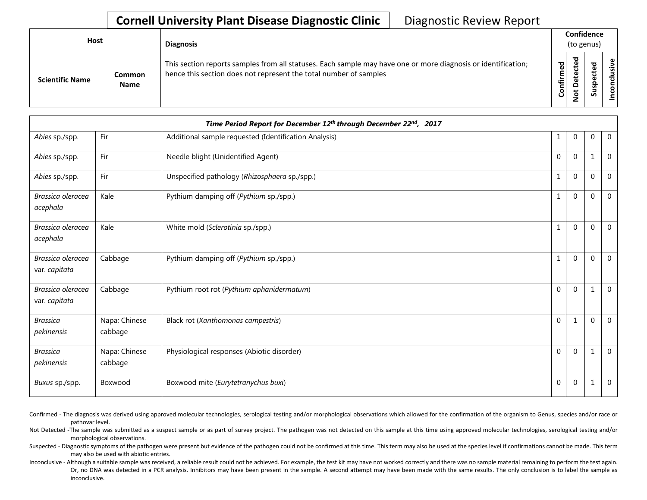## **Cornell University Plant Disease Diagnostic Clinic** | Diagnostic Review Report

| <b>Host</b>            |                       | <b>Diagnosis</b>                                                                                                                                                                   |           | Confidence<br>(to genus) |   |                 |
|------------------------|-----------------------|------------------------------------------------------------------------------------------------------------------------------------------------------------------------------------|-----------|--------------------------|---|-----------------|
| <b>Scientific Name</b> | Common<br><b>Name</b> | This section reports samples from all statuses. Each sample may have one or more diagnosis or identification;<br>hence this section does not represent the total number of samples | Confirmed | ᇃ<br>٥<br>پ<br>⇁<br>ے    | ശ | ω<br>usiv<br>᠊ᠣ |

|                                    |                          | Time Period Report for December 12th through December 22nd, 2017 |              |                |          |                |
|------------------------------------|--------------------------|------------------------------------------------------------------|--------------|----------------|----------|----------------|
| Abies sp./spp.                     | Fir                      | Additional sample requested (Identification Analysis)            |              | $\overline{0}$ | 0        | $\mathbf 0$    |
| Abies sp./spp.                     | Fir                      | Needle blight (Unidentified Agent)                               | $\Omega$     | $\Omega$       | 1        | $\mathbf 0$    |
| Abies sp./spp.                     | Fir                      | Unspecified pathology (Rhizosphaera sp./spp.)                    |              | $\Omega$       | 0        | 0              |
| Brassica oleracea<br>acephala      | Kale                     | Pythium damping off (Pythium sp./spp.)                           |              | $\Omega$       | 0        | $\Omega$       |
| Brassica oleracea<br>acephala      | Kale                     | White mold (Sclerotinia sp./spp.)                                | 1            | $\Omega$       | 0        | $\mathbf 0$    |
| Brassica oleracea<br>var. capitata | Cabbage                  | Pythium damping off (Pythium sp./spp.)                           |              | $\Omega$       | $\Omega$ | $\overline{0}$ |
| Brassica oleracea<br>var. capitata | Cabbage                  | Pythium root rot (Pythium aphanidermatum)                        | $\Omega$     | $\Omega$       |          | $\Omega$       |
| <b>Brassica</b><br>pekinensis      | Napa; Chinese<br>cabbage | Black rot (Xanthomonas campestris)                               | $\mathbf{0}$ | $\mathbf{1}$   | 0        | $\mathbf 0$    |
| <b>Brassica</b><br>pekinensis      | Napa; Chinese<br>cabbage | Physiological responses (Abiotic disorder)                       | $\Omega$     | $\Omega$       | -1       | $\mathbf 0$    |
| Buxus sp./spp.                     | Boxwood                  | Boxwood mite (Eurytetranychus buxi)                              | $\Omega$     | $\Omega$       | 1        | $\overline{0}$ |

- Confirmed The diagnosis was derived using approved molecular technologies, serological testing and/or morphological observations which allowed for the confirmation of the organism to Genus, species and/or race or pathovar level.
- Not Detected -The sample was submitted as a suspect sample or as part of survey project. The pathogen was not detected on this sample at this time using approved molecular technologies, serological testing and/or morphological observations.
- Suspected Diagnostic symptoms of the pathogen were present but evidence of the pathogen could not be confirmed at this time. This term may also be used at the species level if confirmations cannot be made. This term may also be used with abiotic entries.
- Inconclusive Although a suitable sample was received, a reliable result could not be achieved. For example, the test kit may have not worked correctly and there was no sample material remaining to perform the test again. Or, no DNA was detected in a PCR analysis. Inhibitors may have been present in the sample. A second attempt may have been made with the same results. The only conclusion is to label the sample as inconclusive.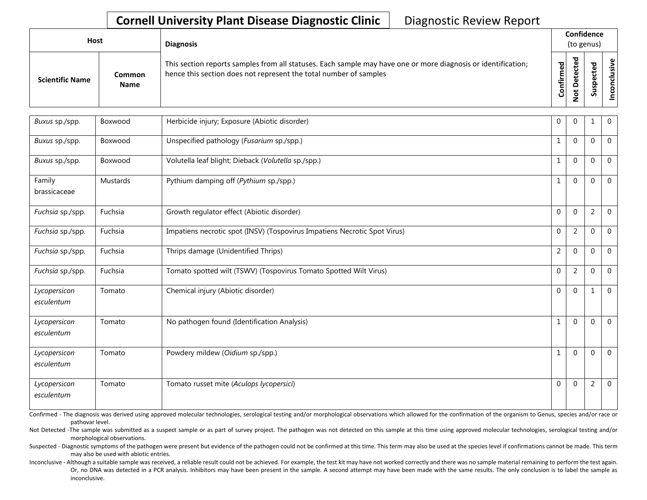## **Cornell University Plant Disease Diagnostic Clinic** | Diagnostic Review Report

| <b>Host</b>            |                       | <b>Diagnosis</b>                                                                                                                                                                   |                    |                                | Confidence<br>(to genus)             |       |
|------------------------|-----------------------|------------------------------------------------------------------------------------------------------------------------------------------------------------------------------------|--------------------|--------------------------------|--------------------------------------|-------|
| <b>Scientific Name</b> | Common<br><b>Name</b> | This section reports samples from all statuses. Each sample may have one or more diagnosis or identification;<br>hence this section does not represent the total number of samples | යි<br>ග<br>Confirm | ಕ<br>$\Omega$<br>$\frac{5}{2}$ | ъ<br>Φ<br>د<br>o<br>௨<br>s<br>∍<br>Ū | usive |

| Buxus sp./spp.             | Boxwood  | Herbicide injury; Exposure (Abiotic disorder)                             | $\mathbf 0$    | $\Omega$       |                | $\mathbf 0$    |
|----------------------------|----------|---------------------------------------------------------------------------|----------------|----------------|----------------|----------------|
| Buxus sp./spp.             | Boxwood  | Unspecified pathology (Fusarium sp./spp.)                                 | $\mathbf{1}$   | $\Omega$       | $\Omega$       | $\mathbf 0$    |
| Buxus sp./spp.             | Boxwood  | Volutella leaf blight; Dieback (Volutella sp./spp.)                       | $\mathbf{1}$   | $\Omega$       | $\Omega$       | $\Omega$       |
| Family<br>brassicaceae     | Mustards | Pythium damping off (Pythium sp./spp.)                                    | $\mathbf{1}$   | $\Omega$       | $\Omega$       | $\mathbf 0$    |
| Fuchsia sp./spp.           | Fuchsia  | Growth regulator effect (Abiotic disorder)                                | $\mathbf 0$    | $\Omega$       | $\overline{2}$ | $\mathbf 0$    |
| Fuchsia sp./spp.           | Fuchsia  | Impatiens necrotic spot (INSV) (Tospovirus Impatiens Necrotic Spot Virus) | $\mathbf 0$    | $\overline{2}$ | $\Omega$       | $\mathbf 0$    |
| Fuchsia sp./spp.           | Fuchsia  | Thrips damage (Unidentified Thrips)                                       | $\overline{2}$ | $\Omega$       | $\Omega$       | $\mathbf 0$    |
| Fuchsia sp./spp.           | Fuchsia  | Tomato spotted wilt (TSWV) (Tospovirus Tomato Spotted Wilt Virus)         | $\mathbf 0$    | $\overline{2}$ | $\Omega$       | $\mathbf 0$    |
| Lycopersicon<br>esculentum | Tomato   | Chemical injury (Abiotic disorder)                                        | $\mathbf 0$    | $\Omega$       | 1              | $\overline{0}$ |
| Lycopersicon<br>esculentum | Tomato   | No pathogen found (Identification Analysis)                               | $\mathbf{1}$   | $\Omega$       | $\Omega$       | $\overline{0}$ |
| Lycopersicon<br>esculentum | Tomato   | Powdery mildew (Oidium sp./spp.)                                          | $\mathbf{1}$   | $\Omega$       | $\Omega$       | $\overline{0}$ |
| Lycopersicon<br>esculentum | Tomato   | Tomato russet mite (Aculops lycopersici)                                  | $\Omega$       | $\Omega$       | 2              | $\mathbf{0}$   |

Confirmed - The diagnosis was derived using approved molecular technologies, serological testing and/or morphological observations which allowed for the confirmation of the organism to Genus, species and/or race or pathovar level.

Not Detected -The sample was submitted as a suspect sample or as part of survey project. The pathogen was not detected on this sample at this time using approved molecular technologies, serological testing and/or morphological observations.

Suspected - Diagnostic symptoms of the pathogen were present but evidence of the pathogen could not be confirmed at this time. This term may also be used at the species level if confirmations cannot be made. This term may also be used with abiotic entries.

Inconclusive - Although a suitable sample was received, a reliable result could not be achieved. For example, the test kit may have not worked correctly and there was no sample material remaining to perform the test again. Or, no DNA was detected in a PCR analysis. Inhibitors may have been present in the sample. A second attempt may have been made with the same results. The only conclusion is to label the sample as inconclusive.